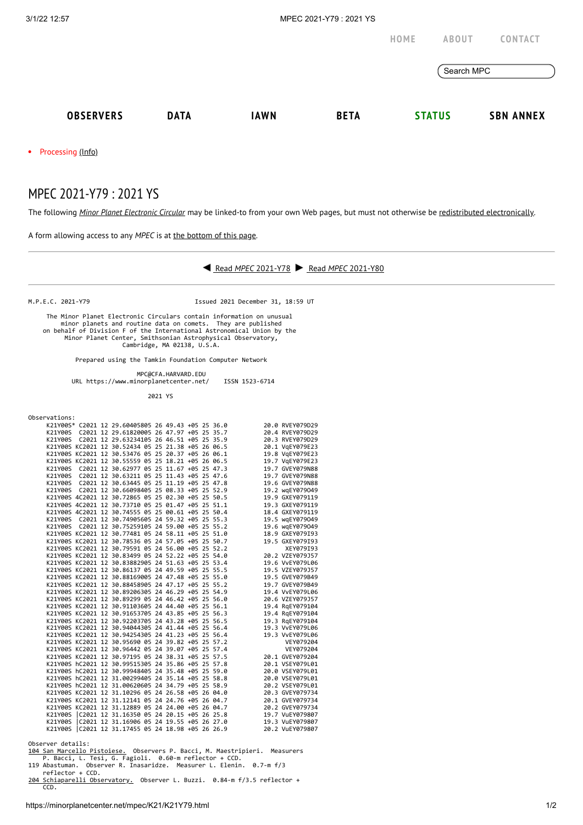

 minor planets and routine data on comets. They are published on behalf of Division F of the International Astronomical Union by the Minor Planet Center, Smithsonian Astrophysical Observatory, Cambridge, MA 02138, U.S.A.

Prepared using the Tamkin Foundation Computer Network

 MPC@CFA.HARVARD.EDU URL https://www.minorplanetcenter.net/ ISSN 1523-6714

2021 YS

| Observations:                                      |                                           |  |  |                 |
|----------------------------------------------------|-------------------------------------------|--|--|-----------------|
| K21Y00S* C2021 12 29.60405805 26 49.43 +05 25 36.0 |                                           |  |  | 20.0 RVEY079D29 |
| K21Y00S C2021 12 29.61820005 26 47.97 +05 25 35.7  |                                           |  |  | 20.4 RVEY079D29 |
| K21Y00S C2021 12 29.63234105 26 46.51 +05 25 35.9  |                                           |  |  | 20.3 RVEY079D29 |
| K21Y00S KC2021 12 30.52434 05 25 21.38 +05 26 06.5 |                                           |  |  | 20.1 VgEY079E23 |
| K21Y00S KC2021 12 30.53476 05 25 20.37 +05 26 06.1 |                                           |  |  | 19.8 VgEY079E23 |
| K21Y00S KC2021 12 30.55559 05 25 18.21 +05 26 06.5 |                                           |  |  | 19.7 VgEY079E23 |
| K21Y00S C2021 12 30.62977 05 25 11.67 +05 25 47.3  |                                           |  |  | 19.7 GVEY079N88 |
| K21Y00S C2021 12 30.63211 05 25 11.43 +05 25 47.6  |                                           |  |  | 19.7 GVEY079N88 |
| K21Y00S C2021 12 30.63445 05 25 11.19 +05 25 47.8  |                                           |  |  | 19.6 GVEY079N88 |
| K21Y00S C2021 12 30.66098405 25 08.33 +05 25 52.9  |                                           |  |  | 19.2 wqEY079049 |
| K21Y00S 4C2021 12 30.72865 05 25 02.30 +05 25 50.5 |                                           |  |  | 19.9 GXEY079119 |
| K21Y00S 4C2021 12 30.73710 05 25 01.47 +05 25 51.1 |                                           |  |  | 19.3 GXEY079119 |
| K21Y00S 4C2021 12 30.74555 05 25 00.61 +05 25 50.4 |                                           |  |  | 18.4 GXEY079119 |
| K21Y00S C2021 12 30.74905605 24 59.32 +05 25 55.3  |                                           |  |  | 19.5 wgEY079049 |
| K21Y00S C2021 12 30.75259105 24 59.00 +05 25 55.2  |                                           |  |  | 19.6 wgEY079049 |
| K21Y00S KC2021 12 30.77481 05 24 58.11 +05 25 51.0 |                                           |  |  | 18.9 GXEY079I93 |
| K21Y00S KC2021 12 30.78536 05 24 57.05 +05 25 50.7 |                                           |  |  | 19.5 GXEY079I93 |
| K21Y00S KC2021 12 30.79591 05 24 56.00 +05 25 52.2 |                                           |  |  | XEY079I93       |
| K21Y00S KC2021 12 30.83499 05 24 52.22 +05 25 54.0 |                                           |  |  | 20.2 VZEY079J57 |
| K21Y00S KC2021 12 30.83882905 24 51.63 +05 25 53.4 |                                           |  |  | 19.6 VvEY079L06 |
| K21Y00S KC2021 12 30.86137 05 24 49.59 +05 25 55.5 |                                           |  |  | 19.5 VZEY079J57 |
| K21Y00S KC2021 12 30.88169005 24 47.48 +05 25 55.0 |                                           |  |  | 19.5 GVEY079B49 |
| K21Y00S KC2021 12 30.88458905 24 47.17 +05 25 55.2 |                                           |  |  | 19.7 GVEY079B49 |
| K21Y00S KC2021 12 30.89206305 24 46.29 +05 25 54.9 |                                           |  |  | 19.4 VvEY079L06 |
| K21Y00S KC2021 12 30.89299 05 24 46.42 +05 25 56.0 |                                           |  |  | 20.6 VZEY079J57 |
| K21Y00S KC2021 12 30.91103605 24 44.40 +05 25 56.1 |                                           |  |  | 19.4 RgEY079104 |
| K21Y00S KC2021 12 30.91653705 24 43.85 +05 25 56.3 |                                           |  |  | 19.4 RgEY079104 |
| K21Y00S KC2021 12 30.92203705 24 43.28 +05 25 56.5 |                                           |  |  | 19.3 RgEY079104 |
| K21Y00S KC2021 12 30.94044305 24 41.44 +05 25 56.4 |                                           |  |  | 19.3 VvEY079L06 |
| K21Y00S KC2021 12 30.94254305 24 41.23 +05 25 56.4 |                                           |  |  | 19.3 VvEY079L06 |
| K21Y00S KC2021 12 30.95690 05 24 39.82 +05 25 57.2 |                                           |  |  | VEY079204       |
| K21Y00S KC2021 12 30.96442 05 24 39.07 +05 25 57.4 |                                           |  |  | VEY079204       |
| K21Y00S KC2021 12 30.97195 05 24 38.31 +05 25 57.5 |                                           |  |  | 20.1 GVEY079204 |
| K21Y00S hC2021 12 30.99515305 24 35.86 +05 25 57.8 |                                           |  |  | 20.1 VSEY079L01 |
| K21Y00S hC2021 12 30.99948405 24 35.48 +05 25 59.0 |                                           |  |  | 20.0 VSEY079L01 |
| K21Y00S hC2021 12 31.00299405 24 35.14 +05 25 58.8 |                                           |  |  | 20.0 VSEY079L01 |
| K21Y00S hC2021 12 31.00620605 24 34.79 +05 25 58.9 |                                           |  |  | 20.2 VSEY079L01 |
| K21Y00S KC2021 12 31.10296 05 24 26.58 +05 26 04.0 |                                           |  |  | 20.3 GVEY079734 |
| K21Y00S KC2021 12 31.12141 05 24 24.76 +05 26 04.7 |                                           |  |  | 20.1 GVEY079734 |
| K21Y00S KC2021 12 31.12889 05 24 24.00 +05 26 04.7 |                                           |  |  | 20.2 GVEY079734 |
| K21Y00S C2021 12 31.16350 05 24 20.15 +05 26 25.8  |                                           |  |  | 19.7 VuEY079807 |
| K21Y00S C2021 12 31.16906 05 24 19.55 +05 26 27.0  |                                           |  |  | 19.3 VuEY079807 |
| K21Y00S                                            | C2021 12 31.17455 05 24 18.98 +05 26 26.9 |  |  | 20.2 VuEY079807 |

Observer details:<br><u>104 San Marcello Pistoiese.</u> Observers P. Bacci, M. Maestripieri. Measurers<br>P. Bacci, L. Tesi, G. Fagioli. 0.60-m reflector + CCD.<br>119 Abastuman. Observer R. Inasaridze. Measurer L. Elenin. 0.7-m f/3<br>ref

[204 Schiaparelli Observatory.](http://www.astrogeo.va.it/) Observer L. Buzzi. 0.84-m f/3.5 reflector + CCD.